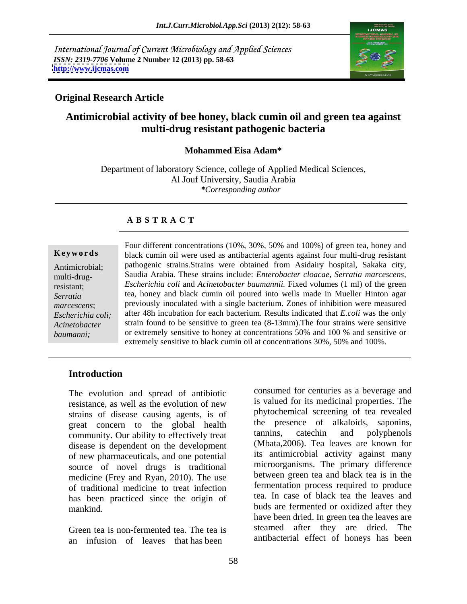International Journal of Current Microbiology and Applied Sciences *ISSN: 2319-7706* **Volume 2 Number 12 (2013) pp. 58-63 <http://www.ijcmas.com>**



#### **Original Research Article**

# **Antimicrobial activity of bee honey, black cumin oil and green tea against multi-drug resistant pathogenic bacteria**

#### **Mohammed Eisa Adam\***

Department of laboratory Science, college of Applied Medical Sciences, Al Jouf University, Saudia Arabia *\*Corresponding author* 

## **A B S T R A C T**

multi-drug-

**Ke ywo rds** black cumin oil were used as antibacterial agents against four multi-drug resistant Antimicrobial; pathogenic strains.Strains were obtained from Asidairy hospital, Sakaka city, resistant; *Escherichia coli* and *Acinetobacter baumannii.* Fixed volumes (1 ml) of the green *Serratia*  tea, honey and black cumin oil poured into wells made in Mueller Hinton agar marcescens; previously inoculated with a single bacterium. Zones of inhibition were measured *Escherichia coli;*  after 48h incubation for each bacterium. Results indicated that *E.coli* was the only Acinetobacter strain found to be sensitive to green tea (8-13mm). The four strains were sensitive *baumanni*; or extremely sensitive to honey at concentrations 50% and 100 % and sensitive or Four different concentrations (10%, 30%, 50% and 100%) of green tea, honey and Saudia Arabia. These strains include: *Enterobacter cloacae, Serratia marcescens*, extremely sensitive to black cumin oil at concentrations 30%, 50% and 100%.

#### **Introduction**

The evolution and spread of antibiotic strains of disease causing agents, is of great concern to the global health the presence of alkaloids, saponins,<br>community Our phility to effectively treat tannins, catechin and polyphenols community. Our ability to effectively treat disease is dependent on the development of new pharmaceuticals, and one potential source of novel drugs is traditional medicine (Frey and Ryan, 2010). The use of traditional medicine to treat infection has been practiced since the origin of

Green tea is non-fermented tea. The tea is an infusion of leaves that has been

resistance, as well as the evolution of new show as valued for its medicinal properties. The mankind. buds are fermented or oxidized after they consumed for centuries as a beverage and is valued for its medicinal properties. The phytochemical screening of tea revealed the presence of alkaloids, saponins, tannins, catechin and polyphenols (Mbata,2006). Tea leaves are known for its antimicrobial activity against many microorganisms. The primary difference between green tea and black tea is in the fermentation process required to produce tea. In case of black tea the leaves and have been dried. In green tea the leaves are steamed after they are dried. The antibacterial effect of honeys has been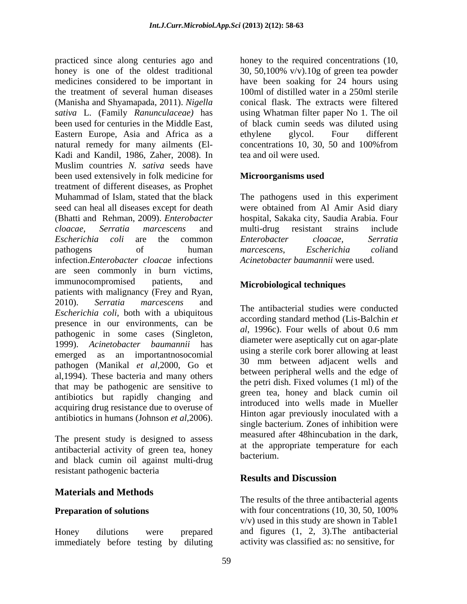practiced since along centuries ago and honey to the required concentrations (10, honey is one of the oldest traditional 30, 50,100% v/v). 10g of green tea powder medicines considered to be important in have been soaking for 24 hours using the treatment of several human diseases (Manisha and Shyamapada, 2011). *Nigella sativa* L. (Family *Ranunculaceae)* has using Whatman filter paper No 1. The oil been used for centuries in the Middle East, of black cumin seeds was diluted using Eastern Europe, Asia and Africa as a ethylene glycol. Four different natural remedy for many ailments (El-<br>concentrations 10, 30, 50 and 100% from Kadi and Kandil, 1986, Zaher, 2008). In tea and oil were used. Muslim countries *N. sativa* seeds have been used extensively in folk medicine for **Microorganisms used** treatment of different diseases, as Prophet Muhammad of Islam, stated that the black The pathogens used in this experiment seed can heal all diseases except for death were obtained from Al Amir Asid diary (Bhatti and Rehman, 2009). *Enterobacter*  hospital, Sakaka city, Saudia Arabia. Four *cloacae, Serratia marcescens* and *Escherichia coli* are the common pathogens of human *marcescens*, *Escherichia coliand* infection.*Enterobacter cloacae* infections are seen commonly in burn victims, immunocompromised patients, and Microbiological techniques patients with malignancy (Frey and Ryan, 2010). *Serratia marcescens* and *Escherichia coli,* both with a ubiquitous presence in our environments, can be pathogenic in some cases (Singleton, 1999). *Acinetobacter baumannii* has emerged as an importantnosocomial pathogen (Manikal *et al*,2000, Go et al,1994). These bacteria and many others that may be pathogenic are sensitive to antibiotics but rapidly changing and acquiring drug resistance due to overuse of antibiotics in humans (Johnson *et al*,2006).

The present study is designed to assess antibacterial activity of green tea, honey at the approximate the state of the approximate the state of the state of the state of the state of the state of the state of the state of the state of the state of the state of t and black cumin oil against multi-drug resistant pathogenic bacteria<br>
Results and Discussion

## **Materials and Methods**

Honey dilutions were prepared and figures (1, 2, 3).The antibacterial immediately before testing by diluting

100ml of distilled water in a 250ml sterile conical flask. The extracts were filtered ethylene glycol. Four different concentrations 10, 30, 50 and 100%from tea and oil were used.

#### **Microorganisms used**

multi-drug resistant strains include *Enterobacter cloacae, Serratia marcescens*, *Escherichia coli*and *Acinetobacter baumannii* were used.

## **Microbiological techniques**

The antibacterial studies were conducted according standard method (Lis-Balchin *et al*, 1996c). Four wells of about 0.6 mm diameter were aseptically cut on agar-plate using a sterile cork borer allowing at least 30 mm between adjacent wells and between peripheral wells and the edge of the petri dish. Fixed volumes (1 ml) of the green tea, honey and black cumin oil introduced into wells made in Mueller Hinton agar previously inoculated with a single bacterium. Zones of inhibition were measured after 48hincubation in the dark, at the appropriate temperature for each bacterium.

## **Results and Discussion**

**Preparation of solutions** with four concentrations (10, 30, 50, 100%) The results of the three antibacterial agents v/v) used in this study are shown in Table1 activity was classified as: no sensitive, for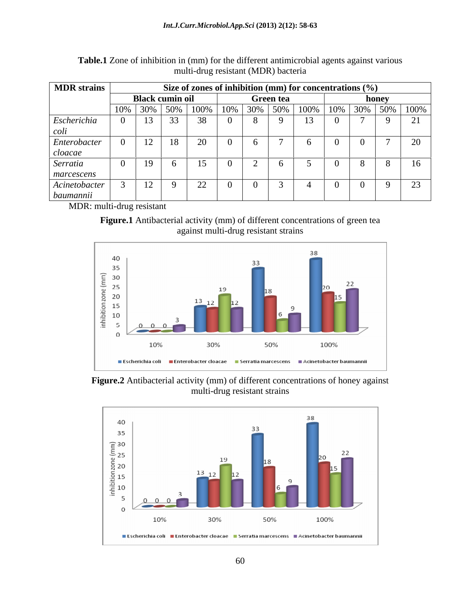| <b>MDR</b> strains | Size of zones of inhibition (mm) for concentrations $(\%)$ |                 |                                                       |           |  |        |       |  |                 |
|--------------------|------------------------------------------------------------|-----------------|-------------------------------------------------------|-----------|--|--------|-------|--|-----------------|
|                    | <b>Black cumin oil</b>                                     |                 |                                                       | Green tea |  |        | honev |  |                 |
|                    |                                                            |                 | 10%   30%   50%   100%   10%   30%   50%   100%   10% |           |  |        |       |  | $30\%$ 50% 100% |
| Escherichia        |                                                            | 33 <sub>1</sub> |                                                       |           |  | $\sim$ |       |  |                 |
| ou                 |                                                            |                 |                                                       |           |  |        |       |  |                 |
| Enterobacter       |                                                            |                 |                                                       |           |  |        |       |  |                 |
| cloacae            |                                                            |                 |                                                       |           |  |        |       |  |                 |
| Serratia           |                                                            | $\overline{10}$ |                                                       |           |  |        |       |  |                 |
| marcescens         |                                                            |                 |                                                       |           |  |        |       |  |                 |
| Acinetobacter      |                                                            | $\mathbf{I}$    | $\overline{\phantom{m}}$                              |           |  |        |       |  |                 |
| baumannii          |                                                            |                 |                                                       |           |  |        |       |  |                 |

| Table.1 Z<br>e different antimicrobial agents against p<br>, or inhibition in $I^{\text{max}}$<br>m) for the<br>various<br>. Zone |  |
|-----------------------------------------------------------------------------------------------------------------------------------|--|
| resistant (MDR)<br>') bacteria<br>$-1$<br>⊥ru⊻                                                                                    |  |

MDR: multi-drug resistant

**Figure.1** Antibacterial activity (mm) of different concentrations of green tea against multi-drug resistant strains



**Figure.2** Antibacterial activity (mm) of different concentrations of honey against multi-drug resistant strains

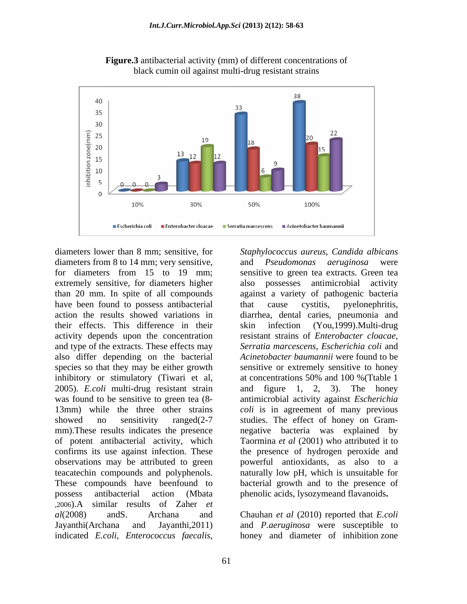

**Figure.3** antibacterial activity (mm) of different concentrations of black cumin oil against multi-drug resistant strains

diameters lower than 8 mm; sensitive, for Staphylococcus aureus, Candida albicans diameters from 8 to 14 mm; very sensitive, and *Pseudomonas aeruginosa* were for diameters from 15 to 19 mm; sensitive to green tea extracts. Green tea extremely sensitive, for diameters higher have been found to possess antibacterial that cause cystitis, pyelonephritis, their effects. This difference in their activity depends upon the concentration and type of the extracts. These effects may also differ depending on the bacterial inhibitory or stimulatory (Tiwari et al, at concentrations 50% and 100 % (Ttable 1) 2005). *E.coli* multi-drug resistant strain teacatechin compounds and polyphenols. possess antibacterial action (Mbata phenolic acids, lysozymeand flavanoids**.** ,2006).A similar results of Zaher *et al*(2008) andS. Archana and Chauhan *et al* (2010) reported that *E.coli* Jayanthi(Archana and Jayanthi,2011) and *P.aeruginosa* were susceptible to diameters lower than 8 mm: sensitive, for *Slaphylococcus areus*, *Cardida albicarus* **E.coli** albicarus **E.coli** diameters from 8 to 14 mm; very sensitive, and *Pseudomonas aeruginosa* were for diameters higher also pos

for diameters from 15 to 19 mm; sensitive to green tea extracts. Green tea than 20 mm. In spite of all compounds against a variety of pathogenic bacteria action the results showed variations in diarrhea, dental caries, pneumonia and species so that they may be either growth sensitive or extremely sensitive to honey was found to be sensitive to green tea (8-<br>antimicrobial activity against *Escherichia* 13mm) while the three other strains *coli* is in agreement of many previous showed no sensitivity ranged(2-7 studies. The effect of honey on Gram mm).These results indicates the presence negative bacteria was explained by of potent antibacterial activity, which Taormina *et al* (2001) who attributed it to confirms its use against infection. These the presence of hydrogen peroxide and observations may be attributed to green powerful antioxidants, as also to a These compounds have beenfound to bacterial growth and to the presence of and *Pseudomonas aeruginosa* were possesses antimicrobial activity that cause cystitis, pyelonephritis, skin infection (You,1999).Multi-drug resistant strains of *Enterobacter cloacae, Serratia marcescens*, *Escherichia coli* and *Acinetobacter baumannii* were found to be at concentrations 50% and 100 %(Ttable 1 and figure 1, 2, 3). The honey naturally low pH, which is unsuitable for

honey and diameter of inhibition zone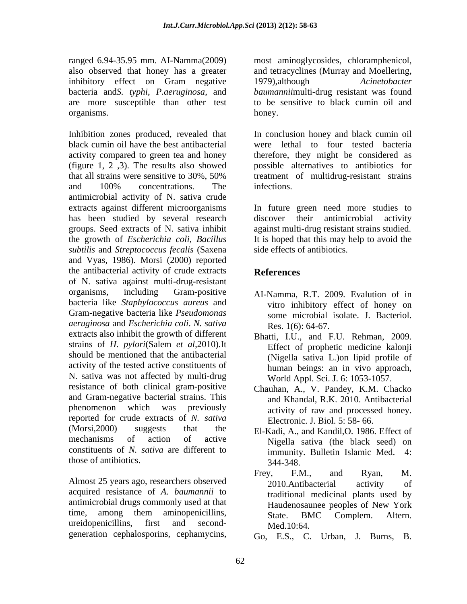ranged 6.94-35.95 mm. AI-Namma(2009) most aminoglycosides, chloramphenicol, also observed that honey has a greater and tetracyclines (Murray and Moellering, inhibitory effect on Gram negative 1979), although *Acinetobacter* bacteria and*S. typhi*, *P.aeruginosa*, and are more susceptible than other test

Inhibition zones produced, revealed that In conclusion honey and black cumin oil black cumin oil have the best antibacterial were lethal to four tested bacteria activity compared to green tea and honey (figure 1, 2 ,3). The results also showed possible alternatives to antibiotics for that all strains were sensitive to 30%, 50% treatment of multidrug-resistant strains and 100% concentrations. The infections. antimicrobial activity of N. sativa crude extracts against different microorganisms In future green need more studies to has been studied by several research discover their antimicrobial activity groups. Seed extracts of N. sativa inhibit against multi-drug resistant strains studied. the growth of *Escherichia coli, Bacillus* It is hoped that this may help to avoid the *subtilis* and *Streptococcus fecalis* (Saxena and Vyas, 1986). Morsi (2000) reported the antibacterial activity of crude extracts References of N. sativa against multi-drug-resistant organisms, including Gram-positive AI-Namma, R.T. 2009. Evalution of in bacteria like *Staphylococcus aureus* and Gram-negative bacteria like *Pseudomonas aeruginosa* and *Escherichia coli*. *N. sativa* extracts also inhibit the growth of different Bhatti, I.U., and F.U. Rehman, 2009. strains of *H. pylori*(Salem *et al*,2010).It Effect of prophetic medicine kalonji should be mentioned that the antibacterial activity of the tested active constituents of N. sativa was not affected by multi-drug resistance of both clinical gram-positive and Gram-negative bacterial strains. This phenomenon which was previously activity of raw and processed honey. reported for crude extracts of *N. sativa* (Morsi,2000) suggests that the El-Kadi, A., and Kandil,O. 1986. Effect of mechanisms of action of active Nigella sativa (the black seed) on constituents of *N. sativa* are different to those of antibiotics.  $344-348$ . angle 634 3558 mm, ATVanomazion cephalosporins, chloranchesicol, chloranchesicol, and Gran-backet on Gran-backet in China and the space of the season of the season of the season of the season of the season of the season of

Almost 25 years ago, researchers observed 2010. Antibacterial activity of acquired resistance of *A. baumannii* to antimicrobial drugs commonly used at that Haudenosaunee peoples of New York

and tetracyclines (Murray and Moellering, organisms. The honey. *baumannii*multi-drug resistant was found to be sensitive to black cumin oil and honey.

> therefore, they might be considered as infections.

discover their antimicrobial side effects of antibiotics.

# **References**

- vitro inhibitory effect of honey on some microbial isolate. J. Bacteriol. Res. 1(6): 64-67.
- Bhatti, I.U., and F.U. Rehman, 2009. Effect of prophetic medicine kalonji (Nigella sativa L.)on lipid profile of human beings: an in vivo approach, World Appl. Sci. J. 6: 1053-1057.
- Chauhan, A., V. Pandey, K.M. Chacko and Khandal, R.K. 2010. Antibacterial Electronic. J. Biol. 5: 58- 66.
- immunity. Bulletin Islamic Med. 344-348.
- time, among them aminopenicillins, State BMC Complem Altern ureidopenicillins, first and second- $Med.10:64$ Frey, F.M., and Ryan, M. 2010.Antibacterial activity of traditional medicinal plants used by Haudenosaunee peoples of New York State. BMC Complem. Altern. Med.10:64.
	- Go, E.S., C. Urban, J. Burns, B.